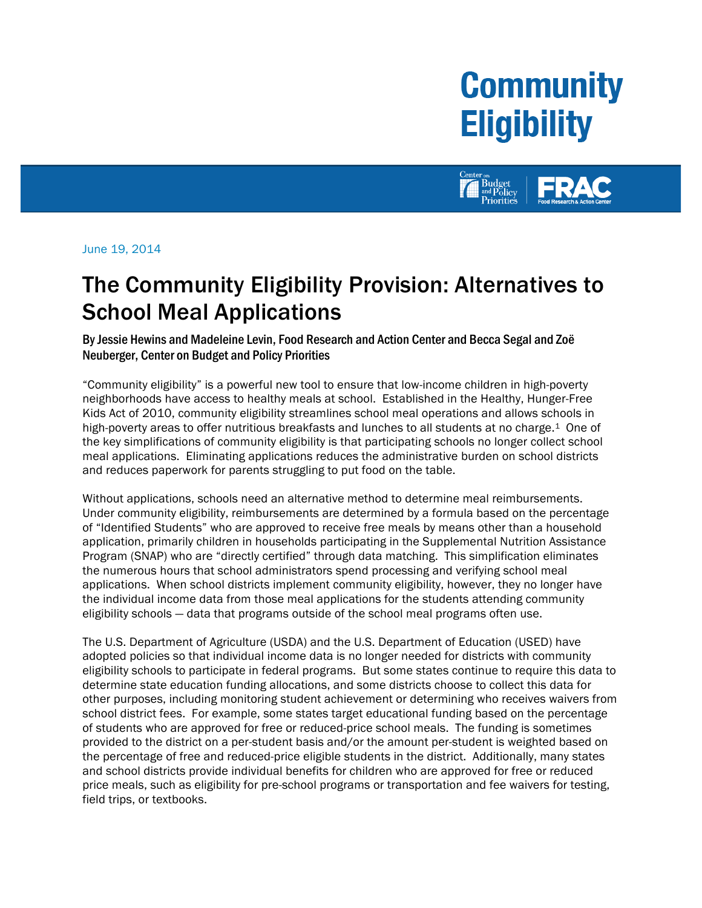# **Community Eligibility**



June 19, 2014

## The Community Eligibility Provision: Alternatives to School Meal Applications

By Jessie Hewins and Madeleine Levin, Food Research and Action Center and Becca Segal and Zoë Neuberger, Center on Budget and Policy Priorities

"Community eligibility" is a powerful new tool to ensure that low-income children in high-poverty neighborhoods have access to healthy meals at school. Established in the Healthy, Hunger-Free Kids Act of 2010, community eligibility streamlines school meal operations and allows schools in high-poverty areas to offer nutritious breakfasts and lunches to all students at no charge.<sup>1</sup> One of the key simplifications of community eligibility is that participating schools no longer collect school meal applications. Eliminating applications reduces the administrative burden on school districts and reduces paperwork for parents struggling to put food on the table.

Without applications, schools need an alternative method to determine meal reimbursements. Under community eligibility, reimbursements are determined by a formula based on the percentage of "Identified Students" who are approved to receive free meals by means other than a household application, primarily children in households participating in the Supplemental Nutrition Assistance Program (SNAP) who are "directly certified" through data matching. This simplification eliminates the numerous hours that school administrators spend processing and verifying school meal applications. When school districts implement community eligibility, however, they no longer have the individual income data from those meal applications for the students attending community eligibility schools — data that programs outside of the school meal programs often use.

The U.S. Department of Agriculture (USDA) and the U.S. Department of Education (USED) have adopted policies so that individual income data is no longer needed for districts with community eligibility schools to participate in federal programs. But some states continue to require this data to determine state education funding allocations, and some districts choose to collect this data for other purposes, including monitoring student achievement or determining who receives waivers from school district fees. For example, some states target educational funding based on the percentage of students who are approved for free or reduced-price school meals. The funding is sometimes provided to the district on a per-student basis and/or the amount per-student is weighted based on the percentage of free and reduced-price eligible students in the district. Additionally, many states and school districts provide individual benefits for children who are approved for free or reduced price meals, such as eligibility for pre-school programs or transportation and fee waivers for testing, field trips, or textbooks.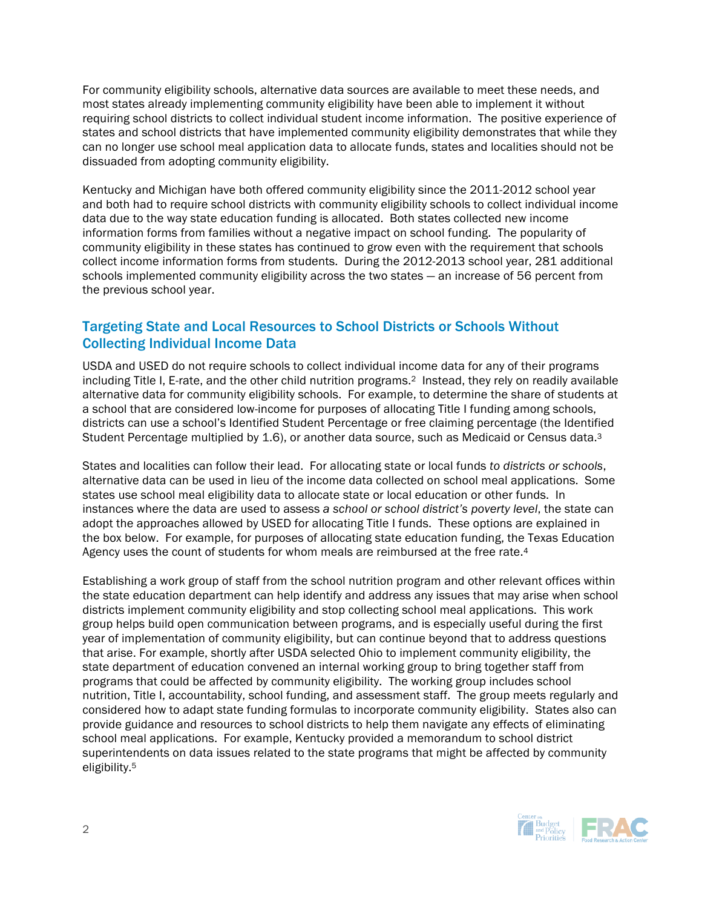For community eligibility schools, alternative data sources are available to meet these needs, and most states already implementing community eligibility have been able to implement it without requiring school districts to collect individual student income information. The positive experience of states and school districts that have implemented community eligibility demonstrates that while they can no longer use school meal application data to allocate funds, states and localities should not be dissuaded from adopting community eligibility.

Kentucky and Michigan have both offered community eligibility since the 2011-2012 school year and both had to require school districts with community eligibility schools to collect individual income data due to the way state education funding is allocated. Both states collected new income information forms from families without a negative impact on school funding. The popularity of community eligibility in these states has continued to grow even with the requirement that schools collect income information forms from students. During the 2012-2013 school year, 281 additional schools implemented community eligibility across the two states — an increase of 56 percent from the previous school year.

#### Targeting State and Local Resources to School Districts or Schools Without Collecting Individual Income Data

USDA and USED do not require schools to collect individual income data for any of their programs including Title I, E-rate, and the other child nutrition programs.2 Instead, they rely on readily available alternative data for community eligibility schools. For example, to determine the share of students at a school that are considered low-income for purposes of allocating Title I funding among schools, districts can use a school's Identified Student Percentage or free claiming percentage (the Identified Student Percentage multiplied by 1.6), or another data source, such as Medicaid or Census data.<sup>3</sup>

States and localities can follow their lead. For allocating state or local funds *to districts or schools*, alternative data can be used in lieu of the income data collected on school meal applications. Some states use school meal eligibility data to allocate state or local education or other funds. In instances where the data are used to assess *a school or school district's poverty level*, the state can adopt the approaches allowed by USED for allocating Title I funds. These options are explained in the box below. For example, for purposes of allocating state education funding, the Texas Education Agency uses the count of students for whom meals are reimbursed at the free rate.4

Establishing a work group of staff from the school nutrition program and other relevant offices within the state education department can help identify and address any issues that may arise when school districts implement community eligibility and stop collecting school meal applications. This work group helps build open communication between programs, and is especially useful during the first year of implementation of community eligibility, but can continue beyond that to address questions that arise. For example, shortly after USDA selected Ohio to implement community eligibility, the state department of education convened an internal working group to bring together staff from programs that could be affected by community eligibility. The working group includes school nutrition, Title I, accountability, school funding, and assessment staff. The group meets regularly and considered how to adapt state funding formulas to incorporate community eligibility. States also can provide guidance and resources to school districts to help them navigate any effects of eliminating school meal applications. For example, Kentucky provided a memorandum to school district superintendents on data issues related to the state programs that might be affected by community eligibility.5

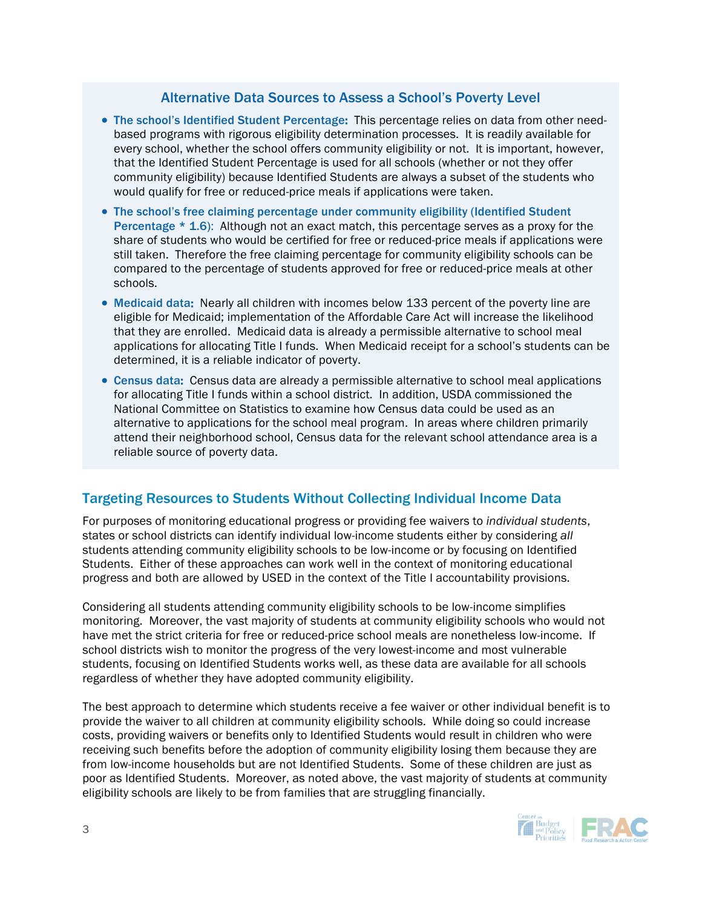#### Alternative Data Sources to Assess a School's Poverty Level

- The school's Identified Student Percentage: This percentage relies on data from other needbased programs with rigorous eligibility determination processes. It is readily available for every school, whether the school offers community eligibility or not. It is important, however, that the Identified Student Percentage is used for all schools (whether or not they offer community eligibility) because Identified Students are always a subset of the students who would qualify for free or reduced-price meals if applications were taken.
- The school's free claiming percentage under community eligibility (Identified Student Percentage  $*$  1.6): Although not an exact match, this percentage serves as a proxy for the share of students who would be certified for free or reduced-price meals if applications were still taken. Therefore the free claiming percentage for community eligibility schools can be compared to the percentage of students approved for free or reduced-price meals at other schools.
- Medicaid data: Nearly all children with incomes below 133 percent of the poverty line are eligible for Medicaid; implementation of the Affordable Care Act will increase the likelihood that they are enrolled. Medicaid data is already a permissible alternative to school meal applications for allocating Title I funds. When Medicaid receipt for a school's students can be determined, it is a reliable indicator of poverty.
- Census data: Census data are already a permissible alternative to school meal applications for allocating Title I funds within a school district. In addition, USDA commissioned the National Committee on Statistics to examine how Census data could be used as an alternative to applications for the school meal program. In areas where children primarily attend their neighborhood school, Census data for the relevant school attendance area is a reliable source of poverty data.

### Targeting Resources to Students Without Collecting Individual Income Data

For purposes of monitoring educational progress or providing fee waivers to *individual students*, states or school districts can identify individual low-income students either by considering *all* students attending community eligibility schools to be low-income or by focusing on Identified Students. Either of these approaches can work well in the context of monitoring educational progress and both are allowed by USED in the context of the Title I accountability provisions.

Considering all students attending community eligibility schools to be low-income simplifies monitoring. Moreover, the vast majority of students at community eligibility schools who would not have met the strict criteria for free or reduced-price school meals are nonetheless low-income. If school districts wish to monitor the progress of the very lowest-income and most vulnerable students, focusing on Identified Students works well, as these data are available for all schools regardless of whether they have adopted community eligibility.

The best approach to determine which students receive a fee waiver or other individual benefit is to provide the waiver to all children at community eligibility schools. While doing so could increase costs, providing waivers or benefits only to Identified Students would result in children who were receiving such benefits before the adoption of community eligibility losing them because they are from low-income households but are not Identified Students. Some of these children are just as poor as Identified Students. Moreover, as noted above, the vast majority of students at community eligibility schools are likely to be from families that are struggling financially.

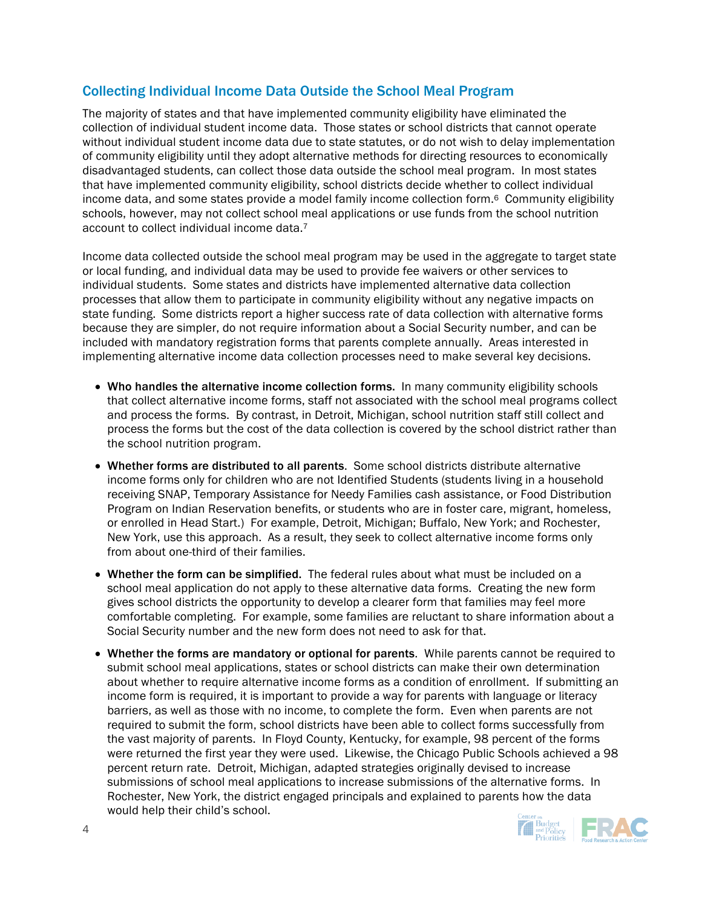#### Collecting Individual Income Data Outside the School Meal Program

The majority of states and that have implemented community eligibility have eliminated the collection of individual student income data. Those states or school districts that cannot operate without individual student income data due to state statutes, or do not wish to delay implementation of community eligibility until they adopt alternative methods for directing resources to economically disadvantaged students, can collect those data outside the school meal program. In most states that have implemented community eligibility, school districts decide whether to collect individual income data, and some states provide a model family income collection form.6 Community eligibility schools, however, may not collect school meal applications or use funds from the school nutrition account to collect individual income data.7

Income data collected outside the school meal program may be used in the aggregate to target state or local funding, and individual data may be used to provide fee waivers or other services to individual students. Some states and districts have implemented alternative data collection processes that allow them to participate in community eligibility without any negative impacts on state funding. Some districts report a higher success rate of data collection with alternative forms because they are simpler, do not require information about a Social Security number, and can be included with mandatory registration forms that parents complete annually. Areas interested in implementing alternative income data collection processes need to make several key decisions.

- Who handles the alternative income collection forms. In many community eligibility schools that collect alternative income forms, staff not associated with the school meal programs collect and process the forms. By contrast, in Detroit, Michigan, school nutrition staff still collect and process the forms but the cost of the data collection is covered by the school district rather than the school nutrition program.
- Whether forms are distributed to all parents. Some school districts distribute alternative income forms only for children who are not Identified Students (students living in a household receiving SNAP, Temporary Assistance for Needy Families cash assistance, or Food Distribution Program on Indian Reservation benefits, or students who are in foster care, migrant, homeless, or enrolled in Head Start.) For example, Detroit, Michigan; Buffalo, New York; and Rochester, New York, use this approach. As a result, they seek to collect alternative income forms only from about one-third of their families.
- Whether the form can be simplified. The federal rules about what must be included on a school meal application do not apply to these alternative data forms. Creating the new form gives school districts the opportunity to develop a clearer form that families may feel more comfortable completing. For example, some families are reluctant to share information about a Social Security number and the new form does not need to ask for that.
- Whether the forms are mandatory or optional for parents. While parents cannot be required to submit school meal applications, states or school districts can make their own determination about whether to require alternative income forms as a condition of enrollment. If submitting an income form is required, it is important to provide a way for parents with language or literacy barriers, as well as those with no income, to complete the form. Even when parents are not required to submit the form, school districts have been able to collect forms successfully from the vast majority of parents. In Floyd County, Kentucky, for example, 98 percent of the forms were returned the first year they were used. Likewise, the Chicago Public Schools achieved a 98 percent return rate. Detroit, Michigan, adapted strategies originally devised to increase submissions of school meal applications to increase submissions of the alternative forms. In Rochester, New York, the district engaged principals and explained to parents how the data would help their child's school.